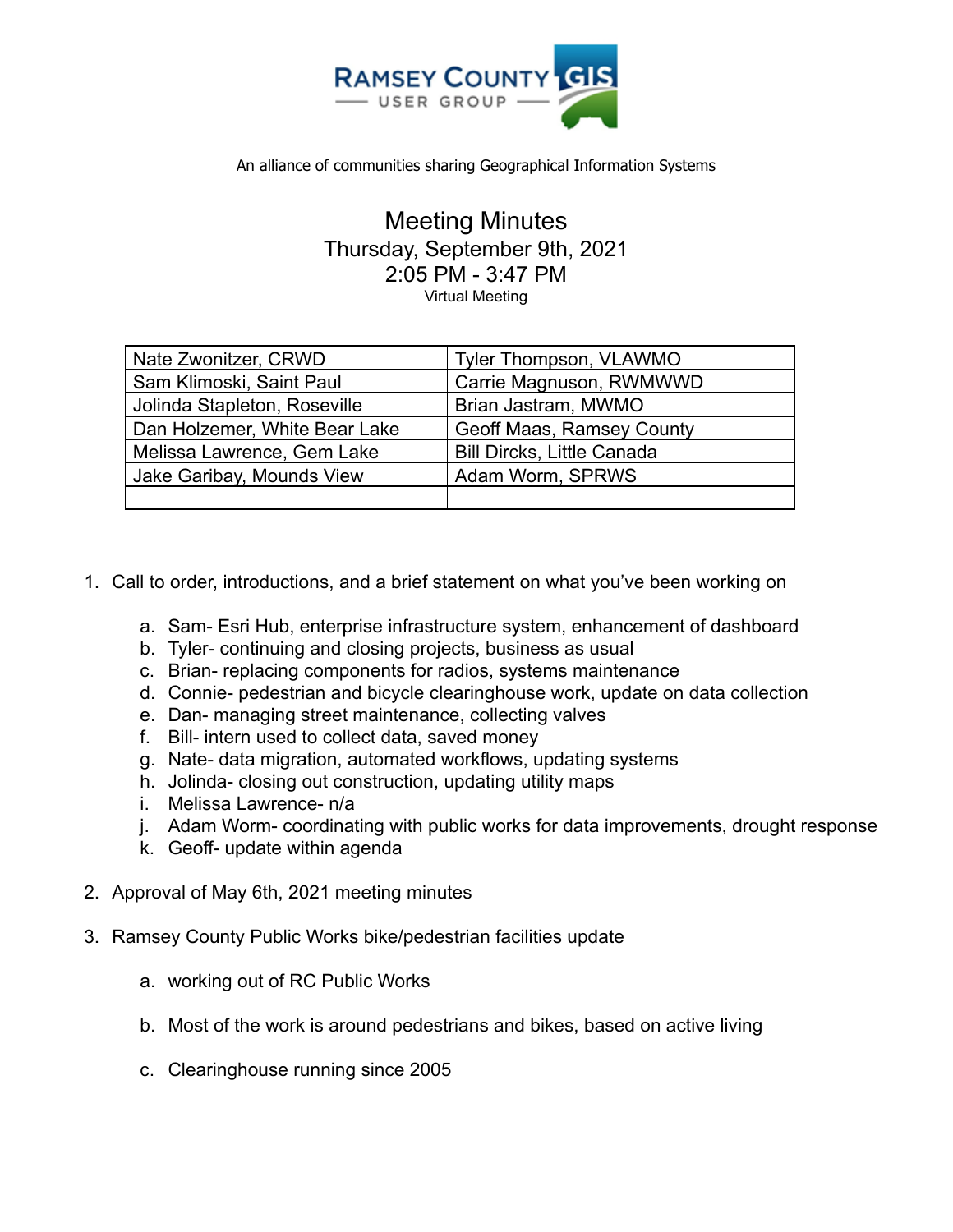

## An alliance of communities sharing Geographical Information Systems

Meeting Minutes Thursday, September 9th, 2021 2:05 PM - 3:47 PM Virtual Meeting

| Nate Zwonitzer, CRWD          | <b>Tyler Thompson, VLAWMO</b>     |
|-------------------------------|-----------------------------------|
| Sam Klimoski, Saint Paul      | Carrie Magnuson, RWMWWD           |
| Jolinda Stapleton, Roseville  | Brian Jastram, MWMO               |
| Dan Holzemer, White Bear Lake | <b>Geoff Maas, Ramsey County</b>  |
| Melissa Lawrence, Gem Lake    | <b>Bill Dircks, Little Canada</b> |
| Jake Garibay, Mounds View     | Adam Worm, SPRWS                  |
|                               |                                   |

- 1. Call to order, introductions, and a brief statement on what you've been working on
	- a. Sam- Esri Hub, enterprise infrastructure system, enhancement of dashboard
	- b. Tyler- continuing and closing projects, business as usual
	- c. Brian- replacing components for radios, systems maintenance
	- d. Connie- pedestrian and bicycle clearinghouse work, update on data collection
	- e. Dan- managing street maintenance, collecting valves
	- f. Bill- intern used to collect data, saved money
	- g. Nate- data migration, automated workflows, updating systems
	- h. Jolinda- closing out construction, updating utility maps
	- i. Melissa Lawrence- n/a
	- j. Adam Worm- coordinating with public works for data improvements, drought response
	- k. Geoff- update within agenda
- 2. Approval of May 6th, 2021 meeting minutes
- 3. Ramsey County Public Works bike/pedestrian facilities update
	- a. working out of RC Public Works
	- b. Most of the work is around pedestrians and bikes, based on active living
	- c. Clearinghouse running since 2005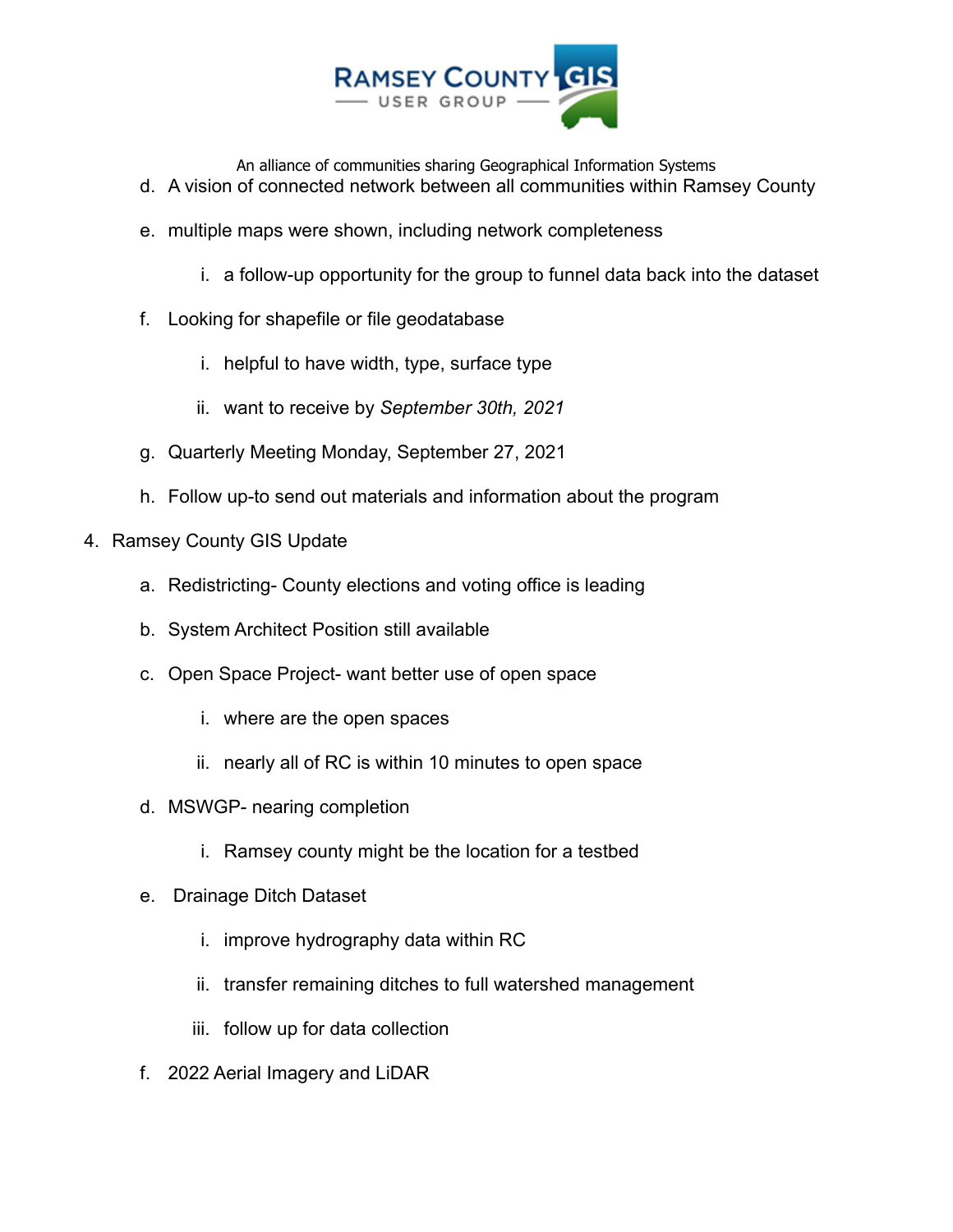

An alliance of communities sharing Geographical Information Systems

- d. A vision of connected network between all communities within Ramsey County
- e. multiple maps were shown, including network completeness
	- i. a follow-up opportunity for the group to funnel data back into the dataset
- f. Looking for shapefile or file geodatabase
	- i. helpful to have width, type, surface type
	- ii. want to receive by *September 30th, 2021*
- g. Quarterly Meeting Monday, September 27, 2021
- h. Follow up-to send out materials and information about the program
- 4. Ramsey County GIS Update
	- a. Redistricting- County elections and voting office is leading
	- b. System Architect Position still available
	- c. Open Space Project- want better use of open space
		- i. where are the open spaces
		- ii. nearly all of RC is within 10 minutes to open space
	- d. MSWGP- nearing completion
		- i. Ramsey county might be the location for a testbed
	- e. Drainage Ditch Dataset
		- i. improve hydrography data within RC
		- ii. transfer remaining ditches to full watershed management
		- iii. follow up for data collection
	- f. 2022 Aerial Imagery and LiDAR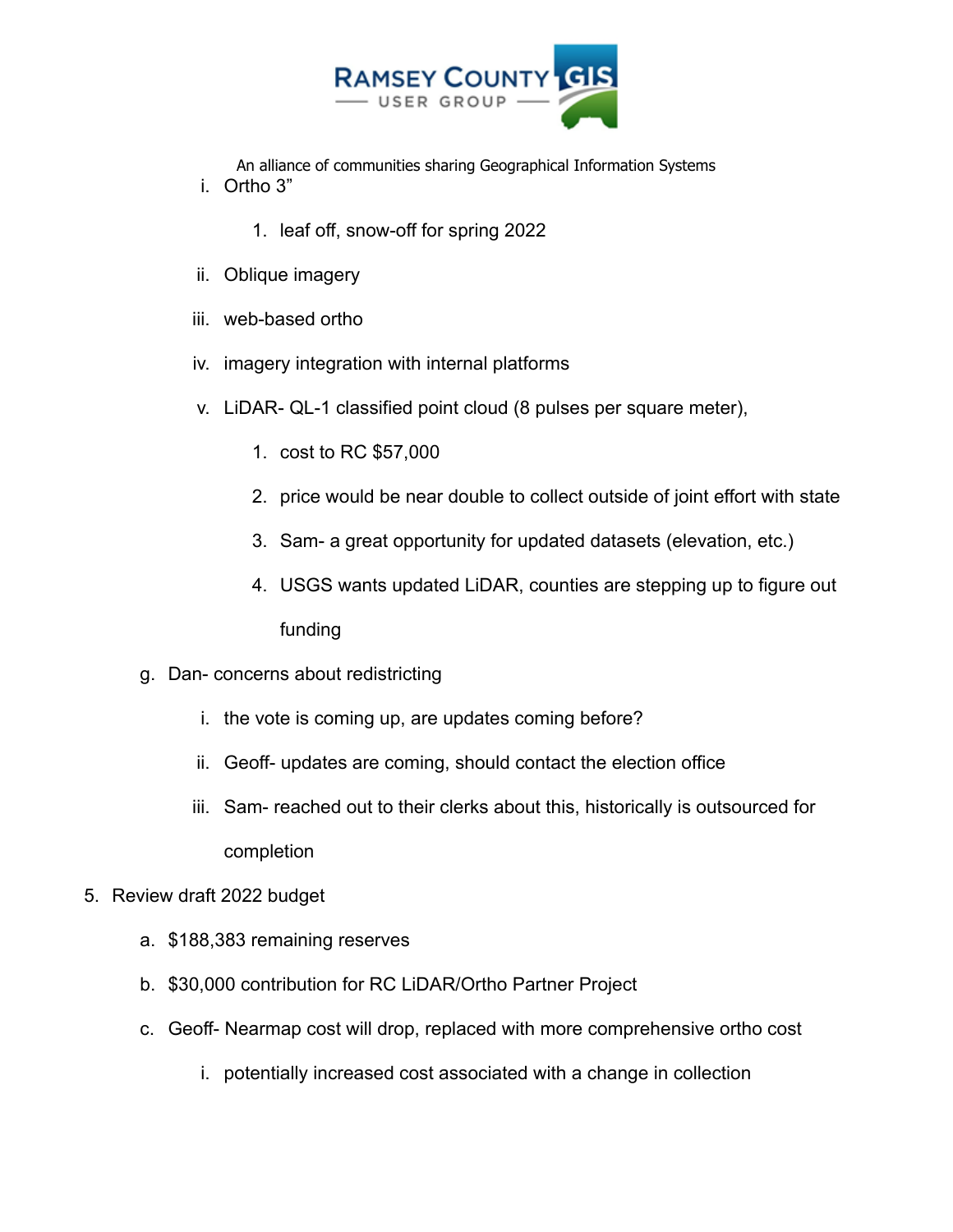

An alliance of communities sharing Geographical Information Systems i. Ortho 3"

- 1. leaf off, snow-off for spring 2022
- ii. Oblique imagery
- iii. web-based ortho
- iv. imagery integration with internal platforms
- v. LiDAR- QL-1 classified point cloud (8 pulses per square meter),
	- 1. cost to RC \$57,000
	- 2. price would be near double to collect outside of joint effort with state
	- 3. Sam- a great opportunity for updated datasets (elevation, etc.)
	- 4. USGS wants updated LiDAR, counties are stepping up to figure out funding
- g. Dan- concerns about redistricting
	- i. the vote is coming up, are updates coming before?
	- ii. Geoff- updates are coming, should contact the election office
	- iii. Sam- reached out to their clerks about this, historically is outsourced for completion
- 5. Review draft 2022 budget
	- a. \$188,383 remaining reserves
	- b. \$30,000 contribution for RC LiDAR/Ortho Partner Project
	- c. Geoff- Nearmap cost will drop, replaced with more comprehensive ortho cost
		- i. potentially increased cost associated with a change in collection